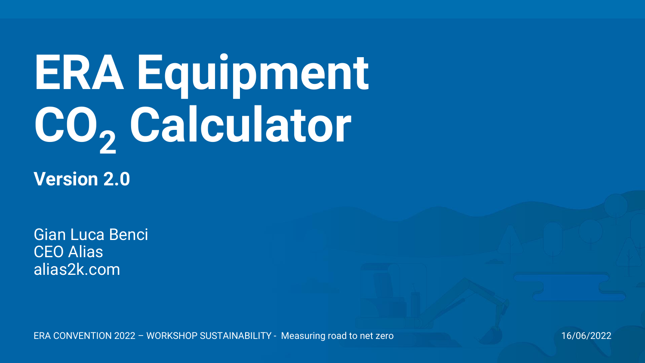# **ERA Equipment CO<sup>2</sup> Calculator**

**Version 2.0**

Gian Luca Benci CEO Alias alias2k.com

ERA CONVENTION 2022 – WORKSHOP SUSTAINABILITY - Measuring road to net zero 16/06/2022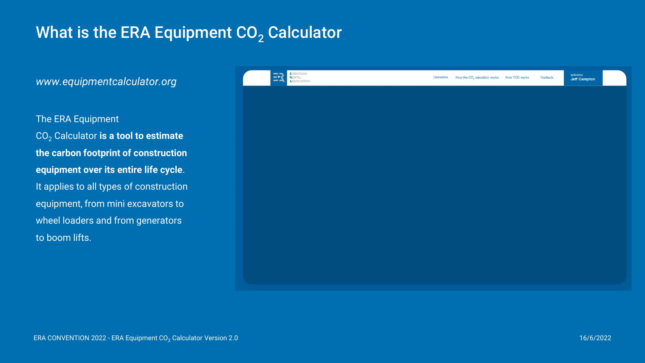### What is the ERA Equipment  $CO<sub>2</sub>$  Calculator

*www.equipmentcalculator.org*

The ERA Equipment CO<sup>2</sup> Calculator **is a tool to estimate the carbon footprint of construction equipment over its entire life cycle**. It applies to all types of construction equipment, from mini excavators to wheel loaders and from generators to boom lifts.

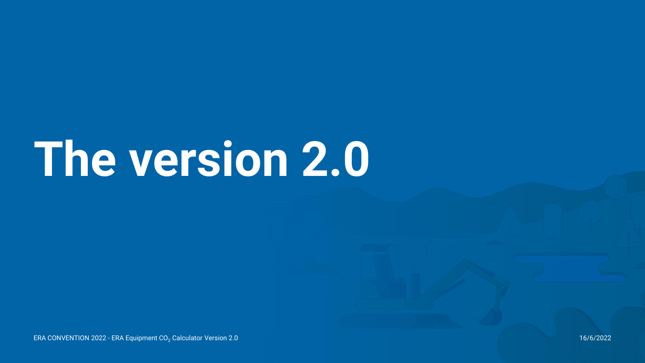# **The version 2.0**

ERA CONVENTION 2022 - ERA Equipment CO<sub>2</sub> Calculator Version 2.0 16/6/2022 16/6/2022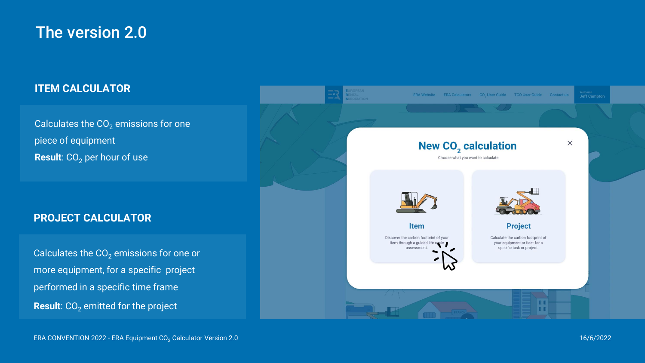### The version 2.0

#### **ITEM CALCULATOR**

Calculates the  $CO<sub>2</sub>$  emissions for one piece of equipment **Result**: CO<sub>2</sub> per hour of use

#### **PROJECT CALCULATOR**

Calculates the  $CO<sub>2</sub>$  emissions for one or more equipment, for a specific project performed in a specific time frame **Result**:  $CO<sub>2</sub>$  emitted for the project

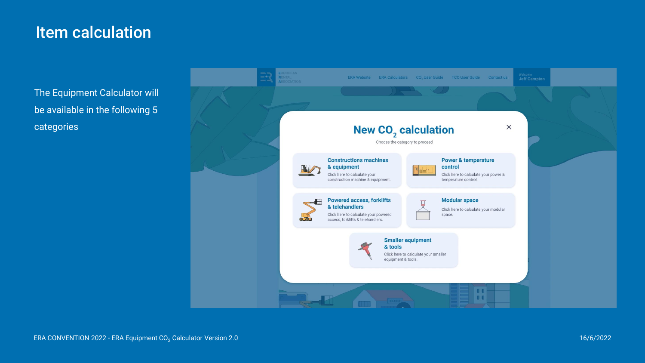#### Item calculation

The Equipment Calculator will be available in the following 5 categories

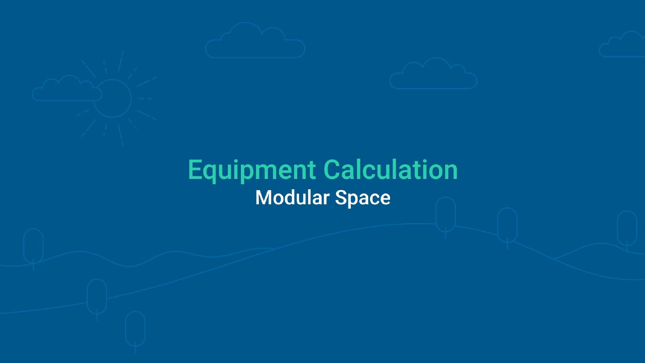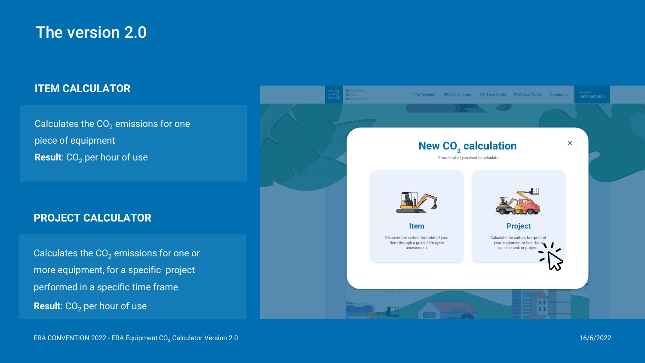### The version 2.0

#### **ITEM CALCULATOR**

Calculates the  $CO<sub>2</sub>$  emissions for one piece of equipment **Result**: CO<sub>2</sub> per hour of use

#### **PROJECT CALCULATOR**

Calculates the  $CO<sub>2</sub>$  emissions for one or more equipment, for a specific project performed in a specific time frame **Result**:  $CO<sub>2</sub>$  per hour of use

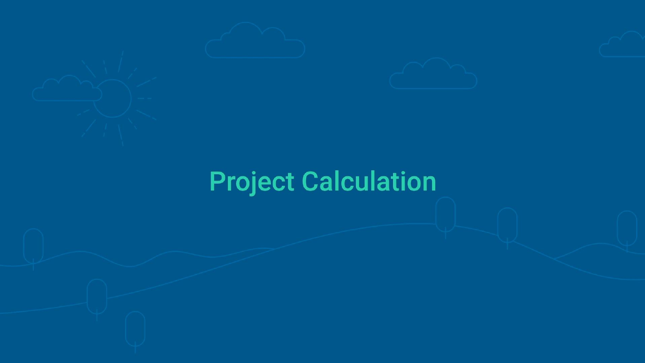



## **Project Calculation**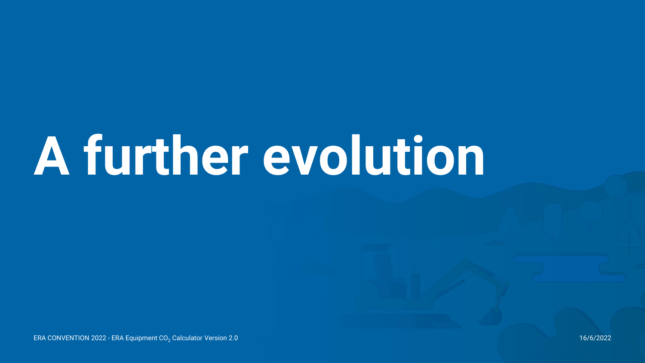# **A further evolution**

ERA CONVENTION 2022 - ERA Equipment CO<sub>2</sub> Calculator Version 2.0 16/6/2022 16/6/2022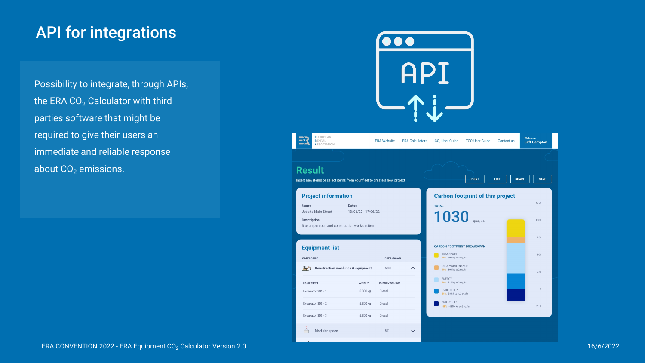### API for integrations

Possibility to integrate, through APIs, the ERA  $CO<sub>2</sub>$  Calculator with third parties software that might be required to give their users an immediate and reliable response about  $CO<sub>2</sub>$  emissions.